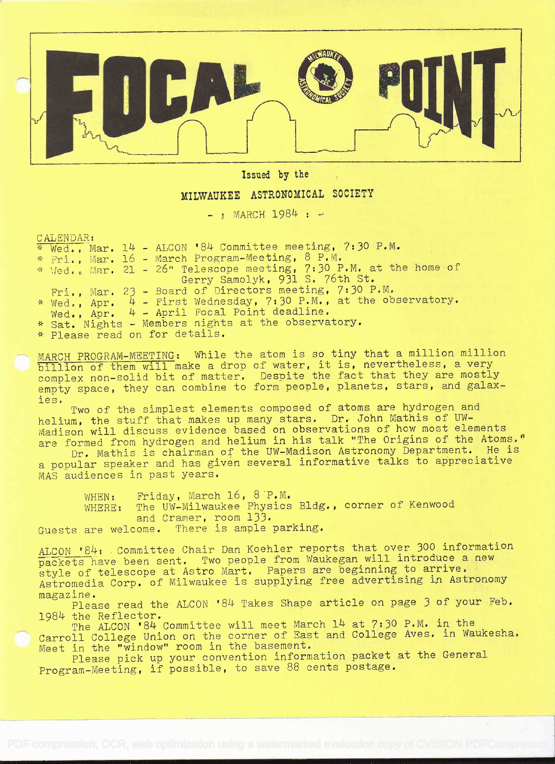

Issued by the

## MILWAUKEE ASTRONOMICAL SOCIETY

 $-$  : MARCH 1984 :  $-$ 

CALENDAR:

|  | $*$ Wed., Mar. 14 - ALCON '84 Committee meeting, 7:30 P.M.        |
|--|-------------------------------------------------------------------|
|  | * Fri., Mar. 16 - March Program-Meeting, 8 P.M.                   |
|  | * Wed., Mar. 21 - 26" Telescope meeting, 7:30 P.M. at the home of |
|  | Gerry Samolyk, 931 S. 76th St.                                    |
|  | Fri., Mar. 23 - Board of Directors meeting, 7:30 P.M.             |
|  | * Wed., Apr. 4 - First Wednesday, 7:30 P.M., at the observatory.  |
|  | Wed., $Apr.$ $4$ - April Focal Point deadline.                    |
|  | * Sat. Nights - Members nights at the observatory.                |
|  | $x \to 2$ and seed as fan dotails                                 |

\* Please read on for details.

MARCH PROGRAM-MEETING: While the atom is so tiny that a million million billion of them will make a drop of water, it is, nevertheless, a very complex non-solid bit of matter. Despite the fact that they are mostly empty space, they can combine to form people, planets, stars, and galax-

ies. Two of the simplest elements composed of atoms are hydrogen and helium, the stuff that makes up many stars. Dr. John Mathis of UWlocial will discuss evidence based on observations of how most elements are formed from hydrogen and helium in his talk "The Origins of the Atoms." Dr. Mathis is chairman of the UW-Madison Astronomy Department. He is

<sup>a</sup>popular speaker and has given several informative talks to appreciative MAS audiences in past years.

WHEN: Friday, March 16, 8 P.M.<br>WHERE: The UW-Milwaukee Physics The UW-Milwaukee Physics Bldg., corner of Kenwood and Cramer, room 133. Guests are welcome. There is ample parking.

ALCON '84: Committee Chair Dan Koehler reports that over 300 information ackets have been sent. Two people from Waukegan will introduce a new style of telescope at Astro Mart. Papers are beginning to arrive. Astromedia Corp. of Milwaukee is supplying free advertising in Astronomy magazine.

magazine.<br> Please read the ALCON '84 Takes Shape article on page 3 of your Feb. 1984 the Reflector.

The ALCON '84 Committee will meet March 14 at 7:30 P.M. in the Carroll College Union on the corner of East and College Aves. in Waukesha. Meet in the "window" room in the basement.

Please pick up your convention information packet at the General Program-Meeting, if possible, to save 88 cents postage.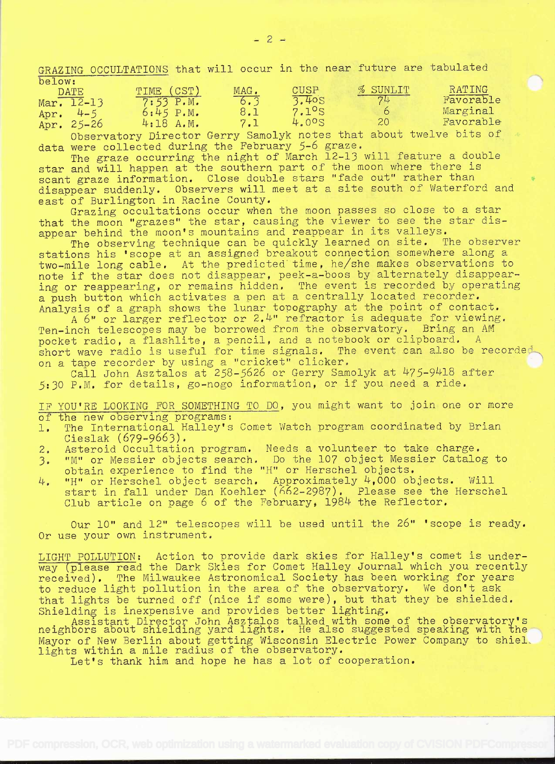GRAZING OCCULTATIONS that will occur in the near future are tabulated below:

| <b>DATE</b>             | TIME (CST) | MAG. | CUSP  | % SUNLIT | RATING    |  |
|-------------------------|------------|------|-------|----------|-----------|--|
| Mar. $\overline{12-13}$ | 7:53 P.M.  | 6.3  | 3.40S |          | Favorable |  |
| $4 - 5$<br>Apr.         | 6:45 P.M.  | 8.1  | 7.1°s |          | Marginal  |  |
| Apr. $25-26$            | 4:18 A.M.  |      | 4.00S | 20       | Favorable |  |
|                         |            |      |       |          |           |  |

Observatory Director Gerry Samolyk notes that about twelve bits of data were collected during the February 5-6 graze.

The graze occurring the night of March 12-13 will feature a double star and will happen at the southern part of the moon where there is scant graze information. Close double stars "fade out" rather than disappear suddenly. Observers will meet at a site south of Waterford and east of Burlington in Racine County.

Grazing occultations occur when the moon passes so close to a star that the moon "grazes" the star, causing the viewer to see the star disappear behind the moon's mountains and reappear in its valleys.

The observing technique can be quickly learned on site. The observer stations his 'scope at an assigned breakout connection somewhere along <sup>a</sup> two-mile long cable. At the predicted time, he/she makes observations to note if' the star does not disappear, peek-a-boos by alternately disappearing or reappearing, or remains hidden. The event is recorded by operating a push button which activates a pen at a centrally located recorder. Analysis of a graph shows the lunar topography at the point of contact.

A 6" or larger reflector or 2.4" refractor is adequate for viewing. Ten-inch telescopes may be borrowed from the observatory. Bring an AM pocket radio, a flashlite, a pencil, and a notebook or clipboard, A short wave radio is useful for time signals. The event can also be recorded on a tape recorder by using a "cricket" clicker.

Call John Asztalos at 258-5626 or Gerry Samolyk at 475-9418 after 5:30 P.M. for details, go-nogo information, or if you need a ride,

IF YOU'RE LOOKING FOR SOMETHING TO DO, you might want to join one or more of the new observing programs:

- 1. The International Halley's Comet Watch program coordinated by Brian Cieslak (679-9663).
- 2. Asteroid Occultation program. Needs a volunteer to take charge.
- 3. "M" or Messier objects search. Do the 107 object Messier Catalog to obtain experience to find the "H" or Herschel objects.
- "H" or Herschel object search. Approximately 4,000 objects. Will 4. start in fall under Dan Koehler ( $662-2987$ ). Please see the Herschel Club article on page  $6$  of the February, 1984 the Reflector.

Our lO" and 12" telescopes will be used until the 26" 'scope is ready. Or use your own instrument.

LIGHT POLLUTION: Action to provide dark skies for Halley's comet is underway (please read the Dark Skies for Comet Halley Journal which you recently received). The Milwaukee Astronomical Society has been working for years to reduce light pollution in the area of the observatory. We don't ask that lights be turned off (nice if some were), but that they be shielded. Shielding is inexpensive and provides better lighting.

. Assistant Director John Asztalos talked with some of the observatory's neighbors about shielding yard lights. He also suggested speaking with the  $\sim$ Mayor of New Berlin about getting Wisconsin Electric Power Company to shiel. lights within a mile radius of the observatory.

Let's thank him and hope he has a lot of cooperation.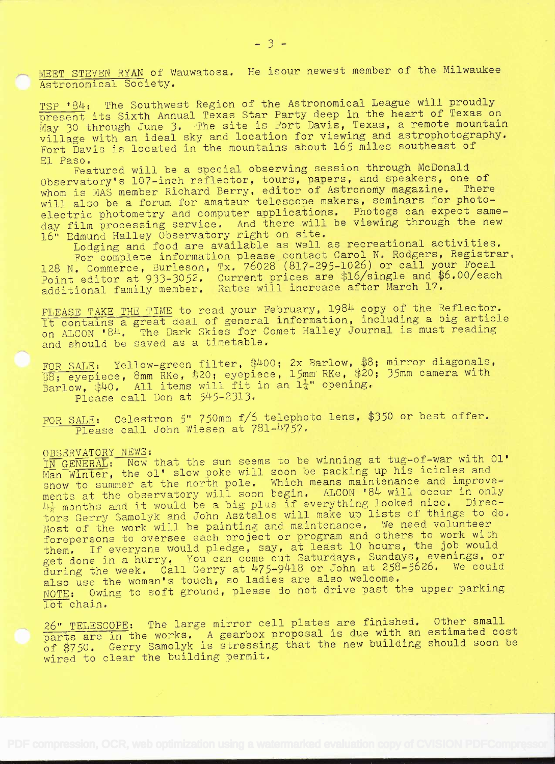MEET STEVEN RYAN of Wauwatosa. He isour newest member of the Milwaukee Astronomical Society.

TSP '84: The Southwest Region of the Astronomical League will proudly present its Sixth Annual Texas Star Party deep in the heart of Texas on May 30 through June 3. The site is Fort Davis, Texas, a remote mountain village with an ideal sky and location for viewing and astrophotography. Fort Davis is located in the mountains about 165 miles southeast of<br>El Paso.

El Paso. Featured will be a special observing session through McDonald Observatory's 107-inch reflector, tours, papers, and speakers, one of whom is MAS member Richard Berry, editor of Astronomy magazine. There will also be a forum for amateur telescope makers, seminars for photoelectric photometry and computer applications. Photogs can expect sameday film processing service. And there will be viewing through the new 16" Edmund Halley Observatory right on site.

Lodging and food are available as well as recreational activities. For complete information please contact Carol N. Rodgers, Registrar, 128 N. Commerce, Burleson, Tx. 76028 (817-295-1026) or call your Focal point editor at 933-3052. Current prices are \$16/single and \$6.00/each additional family member. Rates will increase after March 17.

PLEASE TAKE THE TIME to read your February, 1984 copy of the Reflector. It containa great deal of general information, including a big article on ALCON '84. The Dark Skies for Comet Halley Journal is must reading and should be saved as a timetable.

FOR SALE: Yellow-green filter,  $$400; 2x$  Barlow,  $$8;$  mirror diagonals, Bon BABB: eyepiece, 8mm RKe, \$20; eyepiece, 15mm RKe, \$20; 35mm camera with  $Barlow$ , \$40. All items will fit in an  $1\frac{1}{4}$ " opening. Please call Don at 545-2313.

FOR SALE: Celestron 5" 750mm f/6 telephoto lens, \$350 or best offer. Please call John Wiesen at 781-4757.

OBSERVATORY NEWS:<br>IN GENERAL: Now that the sun seems to be winning at tug-of-war with Ol' Man Winter, the ol' slow poke will soon be packing up his icicles and snow to summer at the north pole. Which means maintenance and improvements at the observatory will soon begin. ALCON '84 will occur in only 4} months and it would be a big plus if everything looked nice. Directors Gerry Samolyk and John Asztalos will make up lists of things to do. Most of the work will be painting and maintenance. We need volunteer forepersons to oversee each project or program and others to work with them. If everyone would pledge, say, at least 10 hours, the job would get done in a hurry. You can come out Saturdays, Sundays, evenings, or during the week. Call Gerry at 475-9418 or John at 258-5626. We could also use the woman's touch, so ladies are also welcome. NOTE: Owing to soft ground, please do not drive past the upper parking lot chain.

26" TELESCOPE: The large mirror cell plates are finished, Other small parts are in the works. A gearbox proposal is due with an estimated cost of \$750. Gerry Samolyk is stressing that the new building should soon be wired to clear the building permit.